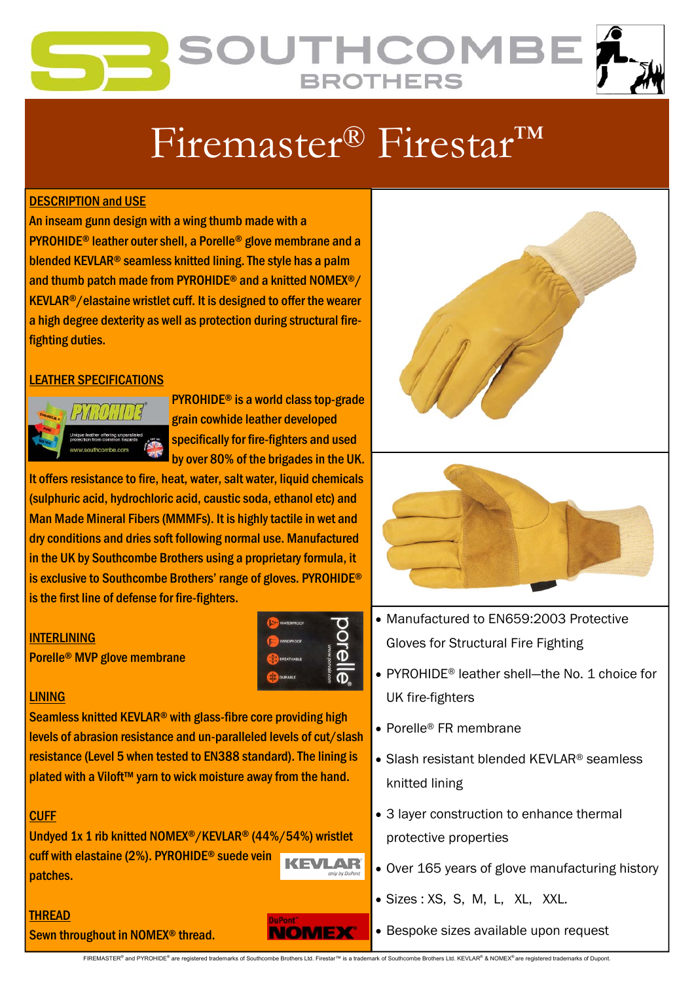## OUTHCOME **BROTHERS**

# Firemaster® Firestar™

#### DESCRIPTION and USE

An inseam gunn design with a wing thumb made with a PYROHIDE® leather outer shell, a Porelle® glove membrane and a blended KEVLAR® seamless knitted lining. The style has a palm and thumb patch made from PYROHIDE® and a knitted NOMEX®/ KEVLAR®/elastaine wristlet cuff. It is designed to offer the wearer a high degree dexterity as well as protection during structural firefighting duties.

#### LEATHER SPECIFICATIONS



PYROHIDE® is a world class top-grade grain cowhide leather developed specifically for fire-fighters and used by over 80% of the brigades in the UK.

It offers resistance to fire, heat, water, salt water, liquid chemicals (sulphuric acid, hydrochloric acid, caustic soda, ethanol etc) and Man Made Mineral Fibers (MMMFs). It is highly tactile in wet and dry conditions and dries soft following normal use. Manufactured in the UK by Southcombe Brothers using a proprietary formula, it is exclusive to Southcombe Brothers' range of gloves. PYROHIDE® is the first line of defense for fire-fighters.

#### **INTERLINING**

Porelle® MVP glove membrane



#### LINING

Seamless knitted KEVLAR® with glass-fibre core providing high levels of abrasion resistance and un-paralleled levels of cut/slash resistance (Level 5 when tested to EN388 standard). The lining is plated with a Viloft™ yarn to wick moisture away from the hand.

#### **CUFF**

Undyed 1x 1 rib knitted NOMEX®/KEVLAR® (44%/54%) wristlet cuff with elastaine (2%). PYROHIDE® suede vein patches.



Sewn throughout in NOMEX® thread.







- Manufactured to EN659:2003 Protective Gloves for Structural Fire Fighting
- PYROHIDE<sup>®</sup> leather shell—the No. 1 choice for UK fire-fighters
- Porelle® FR membrane
- Slash resistant blended KEVLAR<sup>®</sup> seamless knitted lining
- 3 layer construction to enhance thermal protective properties
- Over 165 years of glove manufacturing history
- Sizes : XS, S, M, L, XL, XXL.
- Bespoke sizes available upon request